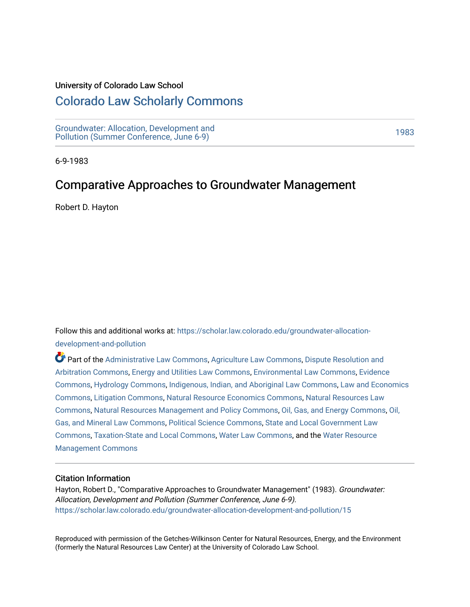#### University of Colorado Law School

## [Colorado Law Scholarly Commons](https://scholar.law.colorado.edu/)

[Groundwater: Allocation, Development and](https://scholar.law.colorado.edu/groundwater-allocation-development-and-pollution)  Giodinavater. Allocation, Development and<br>Pollution (Summer Conference, June 6-9)

6-9-1983

# Comparative Approaches to Groundwater Management

Robert D. Hayton

Follow this and additional works at: [https://scholar.law.colorado.edu/groundwater-allocation](https://scholar.law.colorado.edu/groundwater-allocation-development-and-pollution?utm_source=scholar.law.colorado.edu%2Fgroundwater-allocation-development-and-pollution%2F15&utm_medium=PDF&utm_campaign=PDFCoverPages)[development-and-pollution](https://scholar.law.colorado.edu/groundwater-allocation-development-and-pollution?utm_source=scholar.law.colorado.edu%2Fgroundwater-allocation-development-and-pollution%2F15&utm_medium=PDF&utm_campaign=PDFCoverPages)

Part of the [Administrative Law Commons,](http://network.bepress.com/hgg/discipline/579?utm_source=scholar.law.colorado.edu%2Fgroundwater-allocation-development-and-pollution%2F15&utm_medium=PDF&utm_campaign=PDFCoverPages) [Agriculture Law Commons](http://network.bepress.com/hgg/discipline/581?utm_source=scholar.law.colorado.edu%2Fgroundwater-allocation-development-and-pollution%2F15&utm_medium=PDF&utm_campaign=PDFCoverPages), [Dispute Resolution and](http://network.bepress.com/hgg/discipline/890?utm_source=scholar.law.colorado.edu%2Fgroundwater-allocation-development-and-pollution%2F15&utm_medium=PDF&utm_campaign=PDFCoverPages) [Arbitration Commons](http://network.bepress.com/hgg/discipline/890?utm_source=scholar.law.colorado.edu%2Fgroundwater-allocation-development-and-pollution%2F15&utm_medium=PDF&utm_campaign=PDFCoverPages), [Energy and Utilities Law Commons](http://network.bepress.com/hgg/discipline/891?utm_source=scholar.law.colorado.edu%2Fgroundwater-allocation-development-and-pollution%2F15&utm_medium=PDF&utm_campaign=PDFCoverPages), [Environmental Law Commons,](http://network.bepress.com/hgg/discipline/599?utm_source=scholar.law.colorado.edu%2Fgroundwater-allocation-development-and-pollution%2F15&utm_medium=PDF&utm_campaign=PDFCoverPages) [Evidence](http://network.bepress.com/hgg/discipline/601?utm_source=scholar.law.colorado.edu%2Fgroundwater-allocation-development-and-pollution%2F15&utm_medium=PDF&utm_campaign=PDFCoverPages)  [Commons](http://network.bepress.com/hgg/discipline/601?utm_source=scholar.law.colorado.edu%2Fgroundwater-allocation-development-and-pollution%2F15&utm_medium=PDF&utm_campaign=PDFCoverPages), [Hydrology Commons](http://network.bepress.com/hgg/discipline/1054?utm_source=scholar.law.colorado.edu%2Fgroundwater-allocation-development-and-pollution%2F15&utm_medium=PDF&utm_campaign=PDFCoverPages), [Indigenous, Indian, and Aboriginal Law Commons](http://network.bepress.com/hgg/discipline/894?utm_source=scholar.law.colorado.edu%2Fgroundwater-allocation-development-and-pollution%2F15&utm_medium=PDF&utm_campaign=PDFCoverPages), [Law and Economics](http://network.bepress.com/hgg/discipline/612?utm_source=scholar.law.colorado.edu%2Fgroundwater-allocation-development-and-pollution%2F15&utm_medium=PDF&utm_campaign=PDFCoverPages)  [Commons](http://network.bepress.com/hgg/discipline/612?utm_source=scholar.law.colorado.edu%2Fgroundwater-allocation-development-and-pollution%2F15&utm_medium=PDF&utm_campaign=PDFCoverPages), [Litigation Commons,](http://network.bepress.com/hgg/discipline/910?utm_source=scholar.law.colorado.edu%2Fgroundwater-allocation-development-and-pollution%2F15&utm_medium=PDF&utm_campaign=PDFCoverPages) [Natural Resource Economics Commons,](http://network.bepress.com/hgg/discipline/169?utm_source=scholar.law.colorado.edu%2Fgroundwater-allocation-development-and-pollution%2F15&utm_medium=PDF&utm_campaign=PDFCoverPages) [Natural Resources Law](http://network.bepress.com/hgg/discipline/863?utm_source=scholar.law.colorado.edu%2Fgroundwater-allocation-development-and-pollution%2F15&utm_medium=PDF&utm_campaign=PDFCoverPages)  [Commons](http://network.bepress.com/hgg/discipline/863?utm_source=scholar.law.colorado.edu%2Fgroundwater-allocation-development-and-pollution%2F15&utm_medium=PDF&utm_campaign=PDFCoverPages), [Natural Resources Management and Policy Commons,](http://network.bepress.com/hgg/discipline/170?utm_source=scholar.law.colorado.edu%2Fgroundwater-allocation-development-and-pollution%2F15&utm_medium=PDF&utm_campaign=PDFCoverPages) [Oil, Gas, and Energy Commons,](http://network.bepress.com/hgg/discipline/171?utm_source=scholar.law.colorado.edu%2Fgroundwater-allocation-development-and-pollution%2F15&utm_medium=PDF&utm_campaign=PDFCoverPages) [Oil,](http://network.bepress.com/hgg/discipline/864?utm_source=scholar.law.colorado.edu%2Fgroundwater-allocation-development-and-pollution%2F15&utm_medium=PDF&utm_campaign=PDFCoverPages)  [Gas, and Mineral Law Commons](http://network.bepress.com/hgg/discipline/864?utm_source=scholar.law.colorado.edu%2Fgroundwater-allocation-development-and-pollution%2F15&utm_medium=PDF&utm_campaign=PDFCoverPages), [Political Science Commons](http://network.bepress.com/hgg/discipline/386?utm_source=scholar.law.colorado.edu%2Fgroundwater-allocation-development-and-pollution%2F15&utm_medium=PDF&utm_campaign=PDFCoverPages), [State and Local Government Law](http://network.bepress.com/hgg/discipline/879?utm_source=scholar.law.colorado.edu%2Fgroundwater-allocation-development-and-pollution%2F15&utm_medium=PDF&utm_campaign=PDFCoverPages) [Commons](http://network.bepress.com/hgg/discipline/879?utm_source=scholar.law.colorado.edu%2Fgroundwater-allocation-development-and-pollution%2F15&utm_medium=PDF&utm_campaign=PDFCoverPages), [Taxation-State and Local Commons](http://network.bepress.com/hgg/discipline/882?utm_source=scholar.law.colorado.edu%2Fgroundwater-allocation-development-and-pollution%2F15&utm_medium=PDF&utm_campaign=PDFCoverPages), [Water Law Commons,](http://network.bepress.com/hgg/discipline/887?utm_source=scholar.law.colorado.edu%2Fgroundwater-allocation-development-and-pollution%2F15&utm_medium=PDF&utm_campaign=PDFCoverPages) and the [Water Resource](http://network.bepress.com/hgg/discipline/1057?utm_source=scholar.law.colorado.edu%2Fgroundwater-allocation-development-and-pollution%2F15&utm_medium=PDF&utm_campaign=PDFCoverPages) [Management Commons](http://network.bepress.com/hgg/discipline/1057?utm_source=scholar.law.colorado.edu%2Fgroundwater-allocation-development-and-pollution%2F15&utm_medium=PDF&utm_campaign=PDFCoverPages)

#### Citation Information

Hayton, Robert D., "Comparative Approaches to Groundwater Management" (1983). Groundwater: Allocation, Development and Pollution (Summer Conference, June 6-9). [https://scholar.law.colorado.edu/groundwater-allocation-development-and-pollution/15](https://scholar.law.colorado.edu/groundwater-allocation-development-and-pollution/15?utm_source=scholar.law.colorado.edu%2Fgroundwater-allocation-development-and-pollution%2F15&utm_medium=PDF&utm_campaign=PDFCoverPages) 

Reproduced with permission of the Getches-Wilkinson Center for Natural Resources, Energy, and the Environment (formerly the Natural Resources Law Center) at the University of Colorado Law School.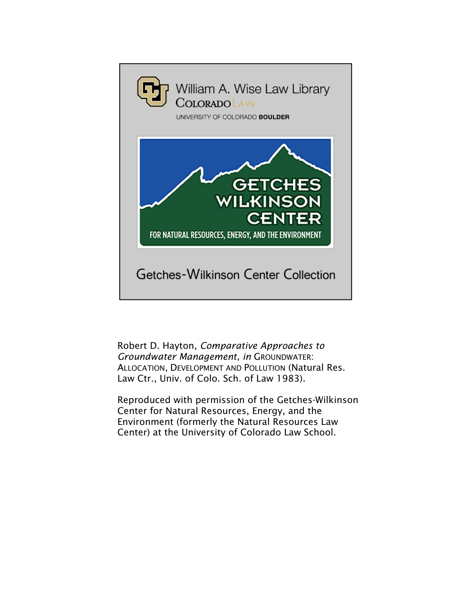

Robert D. Hayton, *Comparative Approaches to Groundwater Management*, *in* GROUNDWATER: ALLOCATION, DEVELOPMENT AND POLLUTION (Natural Res. Law Ctr., Univ. of Colo. Sch. of Law 1983).

Reproduced with permission of the Getches-Wilkinson Center for Natural Resources, Energy, and the Environment (formerly the Natural Resources Law Center) at the University of Colorado Law School.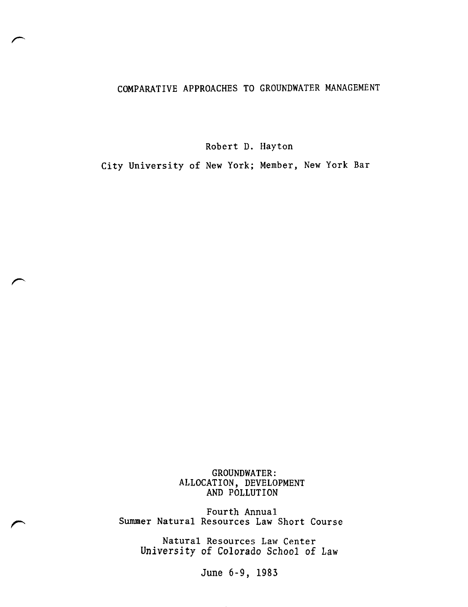### COMPARATIVE APPROACHES TO GROUNDWATER MANAGEMENT

Robert D. Hayton

City University of New York; Member, New York Bar

 $\overline{a}$ 

GROUNDWATER: ALLOCATION, DEVELOPMENT AND POLLUTION

Fourth Annual<br>Summer Natural Resources Law Short Course

Natural Resources Law Center University of Colorado School of Law

June 6-9, 1983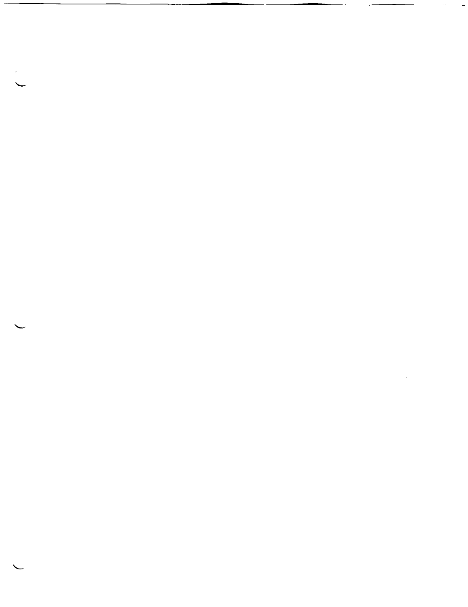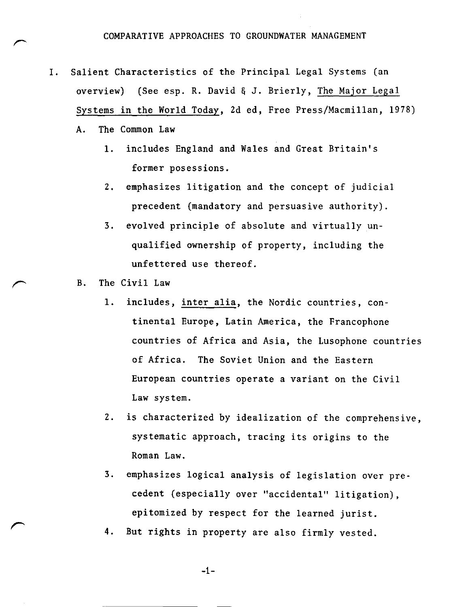- I. Salient Characteristics of the Principal Legal Systems (an overview) (See esp. R. David & J. Brierly, The Major Legal Systems in the World Today, 2d ed, Free Press/Macmillan, 1978)
	- A. The Common Law
		- 1. includes England and Wales and Great Britain's former posessions.
		- 2. emphasizes litigation and the concept of judicial precedent (mandatory and persuasive authority).
		- 3. evolved principle of absolute and virtually unqualified ownership of property, including the unfettered use thereof.
	- B. The Civil Law
		- 1. includes, inter alia, the Nordic countries, continental Europe, Latin America, the Francophone countries of Africa and Asia, the Lusophone countries of Africa. The Soviet Union and the Eastern European countries operate a variant on the Civil Law system.
		- 2. is characterized by idealization of the comprehensive, systematic approach, tracing its origins to the Roman Law.
		- 3. emphasizes logical analysis of legislation over precedent (especially over "accidental" litigation), epitomized by respect for the learned jurist.
		- 4. But rights in property are also firmly vested.

 $-1-$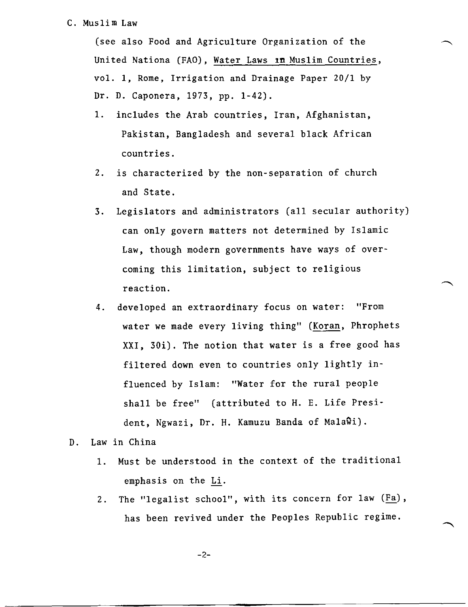#### C. Muslim Law

(see also Food and Agriculture Organization of the United Nationa (FAO), Water Laws in Muslim Countries, vol. 1, Rome, Irrigation and Drainage Paper 20/1 by Dr. D. Caponera, 1973, pp. 1-42).

- 1. includes the Arab countries, Iran, Afghanistan, Pakistan, Bangladesh and several black African countries.
- 2. is characterized by the non-separation of church and State.
- 3. Legislators and administrators (all secular authority) can only govern matters not determined by Islamic Law, though modern governments have ways of overcoming this limitation, subject to religious reaction.
- 4. developed an extraordinary focus on water: "From water we made every living thing" (Koran, Phrophets XXI, 30i). The notion that water is a free good has filtered down even to countries only lightly influenced by Islam: "Water for the rural people shall be free" (attributed to H. E. Life President, Ngwazi, Dr. H. Kamuzu Banda of Malawi).
- D. Law in China
	- 1. Must be understood in the context of the traditional emphasis on the Li.
	- 2. The "legalist school", with its concern for law (Fa), has been revived under the Peoples Republic regime.

-2-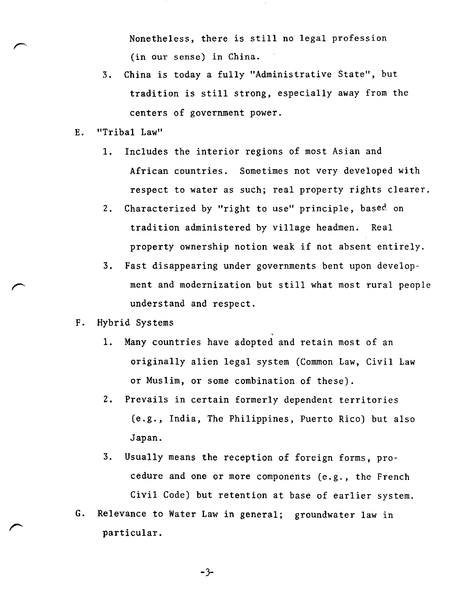Nonetheless, there is still no legal profession (in our sense) in China.

- 3. China is today a fully "Administrative State", but tradition is still strong, especially away from the centers of government power.
- E. "Tribal Law"
	- 1. Includes the interior regions of most Asian and African countries. Sometimes not very developed with respect to water as such; real property rights clearer.
	- 2. Characterized by "right to use" principle, based on tradition administered by village headmen. Real property ownership notion weak if not absent entirely.
	- 3. Fast disappearing under governments bent upon development and modernization but still what most rural people understand and respect.
- F. Hybrid Systems
	- 1. Many countries have adopted and retain most of an originally alien legal system (Common Law, Civil Law or Muslim, or some combination of these).
	- 2. Prevails in certain formerly dependent territories (e.g., India, The Philippines, Puerto Rico) but also Japan.
	- 3. Usually means the reception of foreign forms, procedure and one or more components (e.g., the French Civil Code) but retention at base of earlier system.
- G. Relevance to Water Law in general; groundwater law in particular.

 $-3-$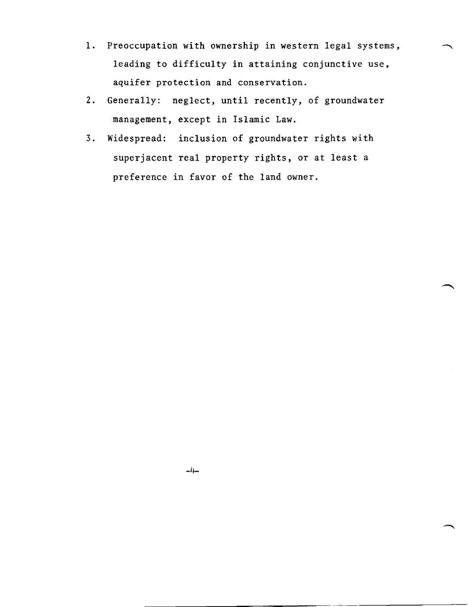- 1. Preoccupation with ownership in western legal systems, leading to difficulty in attaining conjunctive use, aquifer protection and conservation.
- 2. Generally: neglect, until recently, of groundwater management, except in Islamic Law.
- 3. Widespread: inclusion of groundwater rights with superjacent real property rights, or at least a preference in favor of the land owner.

 $-4-$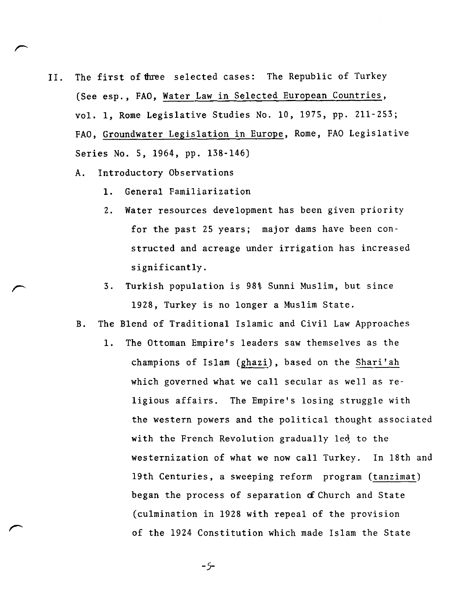- II. The first of three selected cases: The Republic of Turkey (See esp., FAO, Water Law in Selected European Countries, vol. 1, Rome Legislative Studies No. 10, 1975, pp. 211-253; FAO, Groundwater Legislation in Europe, Rome, FAO Legislative Series No. 5, 1964, pp. 138-146)
	- A. Introductory Observations
		- 1. General Familiarization
		- 2. Water resources development has been given priority for the past 25 years; major dams have been constructed and acreage under irrigation has increased significantly.
		- 3. Turkish population is 98% Sunni Muslim, but since 1928, Turkey is no longer a Muslim State.
	- B. The Blend of Traditional Islamic and Civil Law Approaches
		- 1. The Ottoman Empire's leaders saw themselves as the champions of Islam (ghazi), based on the Shari'ah which governed what we call secular as well as religious affairs. The Empire's losing struggle with the western powers and the political thought associated with the French Revolution gradually led; to the westernization of what we now call Turkey. In 18th and 19th Centuries, a sweeping reform program (tanzimat) began the process of separation of Church and State (culmination in 1928 with repeal of the provision of the 1924 Constitution which made Islam the State

-5-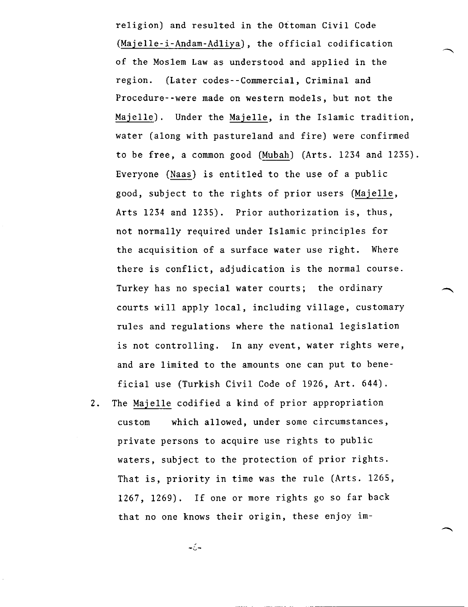religion) and resulted in the Ottoman Civil Code (Maielle-i-Andam-Adliya), the official codification of the Moslem Law as understood and applied in the region. (Later codes--Commercial, Criminal and Procedure--were made on western models, but not the Majelle). Under the Ma'elle, in the Islamic tradition, water (along with pastureland and fire) were confirmed to be free, a common good (Mubah) (Arts. 1234 and 1235). Everyone (Naas) is entitled to the use of a public good, subject to the rights of prior users (Majelle, Arts 1234 and 1235). Prior authorization is, thus, not normally required under Islamic principles for the acquisition of a surface water use right. Where there is conflict, adjudication is the normal course. Turkey has no special water courts; the ordinary courts will apply local, including village, customary rules and regulations where the national legislation is not controlling. In any event, water rights were, and are limited to the amounts one can put to beneficial use (Turkish Civil Code of 1926, Art. 644).

2. The Majelle codified a kind of prior appropriation custom which allowed, under some circumstances, private persons to acquire use rights to public waters, subject to the protection of prior rights. That is, priority in time was the rule (Arts. 1265, 1267, 1269). If one or more rights go so far back that no one knows their origin, these enjoy im-

 $-\epsilon$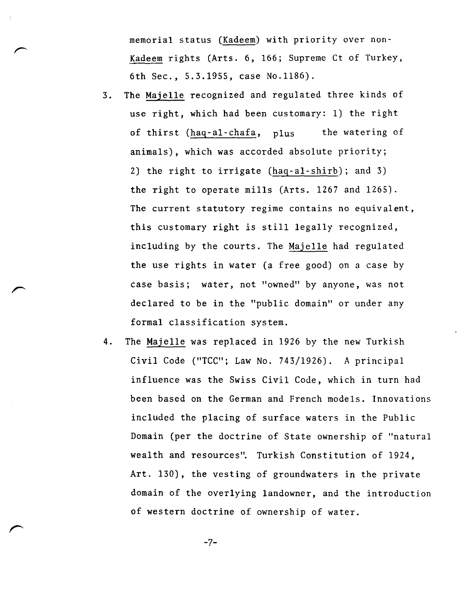memorial status (Kadeem) with priority over non-Kadeem rights (Arts. 6, 166; Supreme Ct of Turkey, 6th Sec., 5.3.1955, case No.1186).

- 3. The Majelle recognized and regulated three kinds of use right, which had been customary: 1) the right of thirst (haq-al-chafa, plus the watering of animals), which was accorded absolute priority; 2) the right to irrigate (haq-al-shirb); and 3) the right to operate mills (Arts. 1267 and 1265). The current statutory regime contains no equivalent, this customary right is still legally recognized, including by the courts. The Majelle had regulated the use rights in water (a free good) on a case by case basis; water, not "owned" by anyone, was not declared to be in the "public domain" or under any formal classification system.
- 4. The Majelle was replaced in 1926 by the new Turkish Civil Code ("TCC"; Law No. 743/1926). A principal influence was the Swiss Civil Code, which in turn had been based on the German and French models. Innovations included the placing of surface waters in the Public Domain (per the doctrine of State ownership of "natural wealth and resources". Turkish Constitution of 1924, Art. 130), the vesting of groundwaters in the private domain of the overlying landowner, and the introduction of western doctrine of ownership of water.

-7-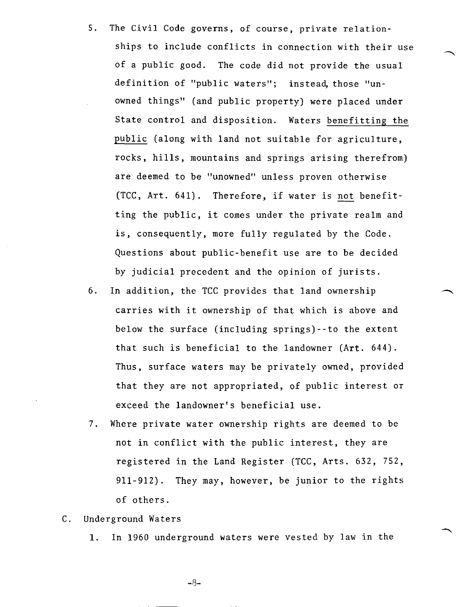- S. The Civil Code governs, of course, private relationships to include conflicts in connection with their use of a public good. The code did not provide the usual definition of "public waters"; instead, those "unowned things" (and public property) were placed under State control and disposition. Waters benefitting the public (along with land not suitable for agriculture, rocks, hills, mountains and springs arising therefrom) are deemed to be "unowned" unless proven otherwise (TCC, Art. 641). Therefore, if water is not benefitting the public, it comes under the private realm and is, consequently, more fully regulated by the Code. Questions about public-benefit use are to be decided by judicial precedent and the opinion of jurists.
- 6. In addition, the TCC provides that land ownership carries with it ownership of that which is above and below the surface (including springs)--to the extent that such is beneficial to the landowner (Art. 644). Thus, surface waters may be privately owned, provided that they are not appropriated, of public interest or exceed the landowner's beneficial use.
- 7. Where private water ownership rights are deemed to be not in conflict with the public interest, they are registered in the Land Register (TCC, Arts. 632, 752, 911-912). They may, however, be junior to the rights of others.

C. Underground Waters

1. In 1960 underground waters were vested by law in the

-8-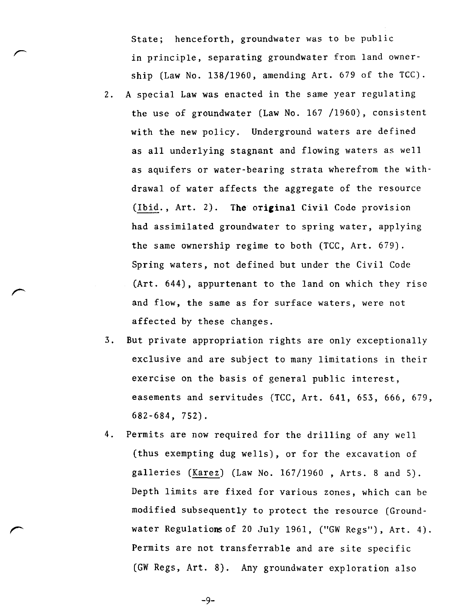State; henceforth, groundwater was to be public in principle, separating groundwater from land ownership (Law No. 138/1960, amending Art. 679 of the TCC).

- 2. A special Law was enacted in the same year regulating the use of groundwater (Law No. 167 /1960), consistent with the new policy. Underground waters are defined as all underlying stagnant and flowing waters as well as aquifers or water-bearing strata wherefrom the withdrawal of water affects the aggregate of the resource (Ibid., Art. 2). **The original** Civil Code provision had assimilated groundwater to spring water, applying the same ownership regime to both (TCC, Art. 679). Spring waters, not defined but under the Civil Code (Art. 644), appurtenant to the land on which they rise and flow, the same as for surface waters, were not affected by these changes.
- 3. But private appropriation rights are only exceptionally exclusive and are subject to many limitations in their exercise on the basis of general public interest, easements and servitudes (TCC, Art. 641, 653, 666, 679, 682-684, 752).
- 4. Permits are now required for the drilling of any well (thus exempting dug wells), or for the excavation of galleries (Karez) (Law No. 167/1960 , Arts. 8 and 5). Depth limits are fixed for various zones, which can be modified subsequently to protect the resource (Groundwater Regulations of 20 July 1961, ("GW Regs"), Art. 4). Permits are not transferrable and are site specific (GW Regs, Art. 8). Any groundwater exploration also

-9-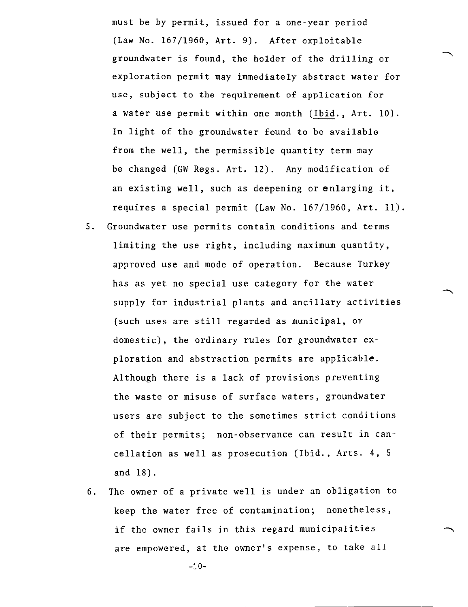must be by permit, issued for a one-year period (Law No. 167/1960, Art. 9). After exploitable groundwater is found, the holder of the drilling or exploration permit may immediately abstract water for use, subject to the requirement of application for a water use permit within one month (Ibid., Art. 10). In light of the groundwater found to be available from the well, the permissible quantity term may be changed (GW Regs. Art. 12). Any modification of an existing well, such as deepening or enlarging it, requires a special permit (Law No. 167/1960, Art. 11).

- S. Groundwater use permits contain conditions and terms limiting the use right, including maximum quantity, approved use and mode of operation. Because Turkey has as yet no special use category for the water supply for industrial plants and ancillary activities (such uses are still regarded as municipal, or domestic), the ordinary rules for groundwater exploration and abstraction permits are applicable. Although there is a lack of provisions preventing the waste or misuse of surface waters, groundwater users are subject to the sometimes strict conditions of their permits; non-observance can result in cancellation as well as prosecution (Ibid., Arts. 4, 5 and 18).
- 6. The owner of a private well is under an obligation to keep the water free of contamination; nonetheless, if the owner fails in this regard municipalities are empowered, at the owner's expense, to take all

 $-10-$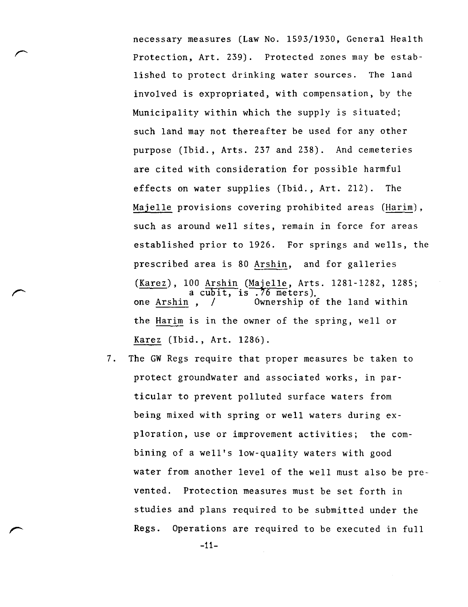necessary measures (Law No. 1593/1930, General Health Protection, Art. 239). Protected zones may be established to protect drinking water sources. The land involved is expropriated, with compensation, by the Municipality within which the supply is situated; such land may not thereafter be used for any other purpose (Ibid., Arts. 237 and 238). And cemeteries are cited with consideration for possible harmful effects on water supplies (Ibid., Art. 212). The Majelle provisions covering prohibited areas (Harim), such as around well sites, remain in force for areas established prior to 1926. For springs and wells, the prescribed area is 80 Arshin, and for galleries (Karez), 100 Arshin (Majelle, Arts. 1281-1282, 1285; a cubit, is .76 meters).<br>one Arshin, / 0wnership of Ownership of the land within the Harim is in the owner of the spring, well or Karez (Ibid., Art. 1286).

7. The GW Regs require that proper measures be taken to protect groundwater and associated works, in particular to prevent polluted surface waters from being mixed with spring or well waters during exploration, use or improvement activities; the combining of a well's low-quality waters with good water from another level of the well must also be prevented. Protection measures must be set forth in studies and plans required to be submitted under the Regs. Operations are required to be executed in full

-11-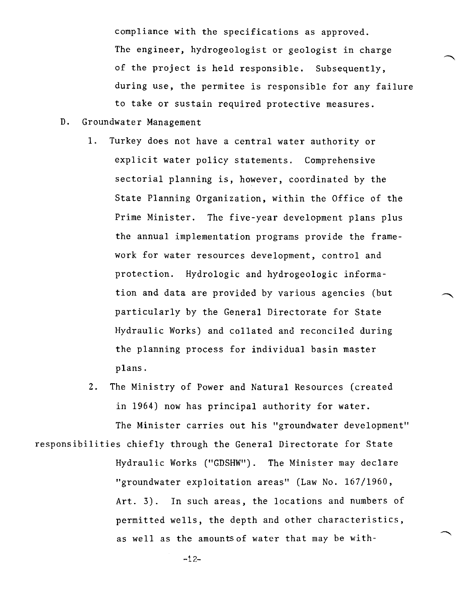compliance with the specifications as approved. The engineer, hydrogeologist or geologist in charge of the project is held responsible. Subsequently, during use, the permitee is responsible for any failure to take or sustain required protective measures.

- D. Groundwater Management
	- 1. Turkey does not have a central water authority or explicit water policy statements. Comprehensive sectorial planning is, however, coordinated by the State Planning Organization, within the Office of the Prime Minister. The five-year development plans plus the annual implementation programs provide the framework for water resources development, control and protection. Hydrologic and hydrogeologic information and data are provided by various agencies (but particularly by the General Directorate for State Hydraulic Works) and collated and reconciled during the planning process for individual basin master plans.
	- 2. The Ministry of Power and Natural Resources (created in 1964) now has principal authority for water.

The Minister carries out his "groundwater development"

responsibilities chiefly through the General Directorate for State Hydraulic Works ("GDSHW"). The Minister may declare "groundwater exploitation areas" (Law No. 167/1960, Art. 3). In such areas, the locations and numbers of permitted wells, the depth and other characteristics, as well as the amounts of water that may be with-

 $-12-$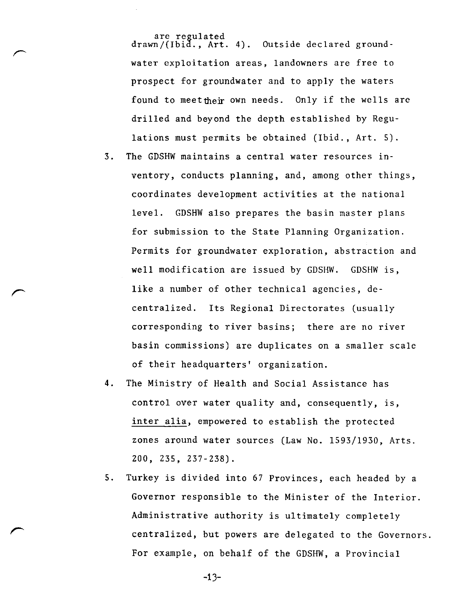are regulated drawn/(Ibi $\tilde{\textbf{d}}$ ., Art. 4). Outside declared ground $\cdot$ water exploitation areas, landowners are free to prospect for groundwater and to apply the waters found to meet their own needs. Only if the wells are drilled and beyond the depth established by Regulations must permits be obtained (Ibid., Art. 5).

- 3. The GDSHW maintains a central water resources inventory, conducts planning, and, among other things, coordinates development activities at the national level. GDSHW also prepares the basin master plans for submission to the State Planning Organization. Permits for groundwater exploration, abstraction and well modification are issued by GDSHW. GDSHW is, like a number of other technical agencies, decentralized. Its Regional Directorates (usually corresponding to river basins; there are no river basin commissions) are duplicates on a smaller scale of their headquarters' organization.
- 4. The Ministry of Health and Social Assistance has control over water quality and, consequently, is, inter alia, empowered to establish the protected zones around water sources (Law No. 1593/1930, Arts. 200, 235, 237-238).
- 5. Turkey is divided into 67 Provinces, each headed by a Governor responsible to the Minister of the Interior. Administrative authority is ultimately completely centralized, but powers are delegated to the Governors. For example, on behalf of the GDSHW, a Provincial

-13-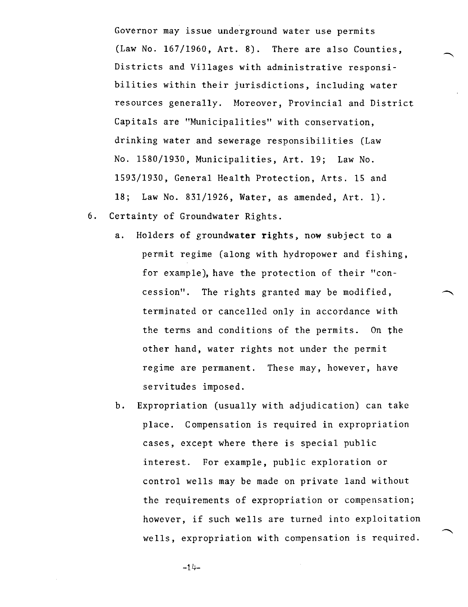Governor may issue underground water use permits (Law No. 167/1960, Art. 8). There are also Counties, Districts and Villages with administrative responsibilities within their jurisdictions, including water resources generally. Moreover, Provincial and District Capitals are "Municipalities" with conservation, drinking water and sewerage responsibilities (Law No. 1580/1930, Municipalities, Art. 19; Law No. 1593/1930, General Health Protection, Arts. 15 and 18; Law No. 831/1926, Water, as amended, Art. 1).

- 6. Certainty of Groundwater Rights.
	- a. Holders of groundwater rights, now subject to a permit regime (along with hydropower and fishing, for example), have the protection of their "concession". The rights granted may be modified, terminated or cancelled only in accordance with the terms and conditions of the permits. On the other hand, water rights not under the permit regime are permanent. These may, however, have servitudes imposed.
	- b. Expropriation (usually with adjudication) can take place. Compensation is required in expropriation cases, except where there is special public interest. For example, public exploration or control wells may be made on private land without the requirements of expropriation or compensation; however, if such wells are turned into exploitation wells, expropriation with compensation is required.

 $-14-$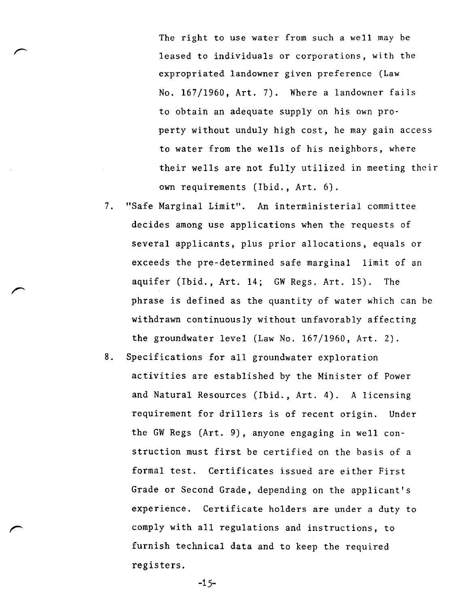The right to use water from such a well may be leased to individuals or corporations, with the expropriated landowner given preference (Law No. 167/1960, Art. 7). Where a landowner fails to obtain an adequate supply on his own property without unduly high cost, he may gain access to water from the wells of his neighbors, where their wells are not fully utilized in meeting their own requirements (Ibid., Art. 6).

- 7. "Safe Marginal Limit". An interministerial committee decides among use applications when the requests of several applicants, plus prior allocations, equals or exceeds the pre-determined safe marginal limit of an aquifer (Ibid., Art. 14; GW Regs. Art. 15). The phrase is defined as the quantity of water which can be withdrawn continuously without unfavorably affecting the groundwater level (Law No. 167/1960, Art. 2).
- 8. Specifications for all groundwater exploration activities are established by the Minister of Power and Natural Resources (Ibid., Art. 4). A licensing requirement for drillers is of recent origin. Under the GW Regs (Art. 9), anyone engaging in well construction must first be certified on the basis of a formal test. Certificates issued are either First Grade or Second Grade, depending on the applicant's experience. Certificate holders are under a duty to comply with all regulations and instructions, to furnish technical data and to keep the required registers.

-15-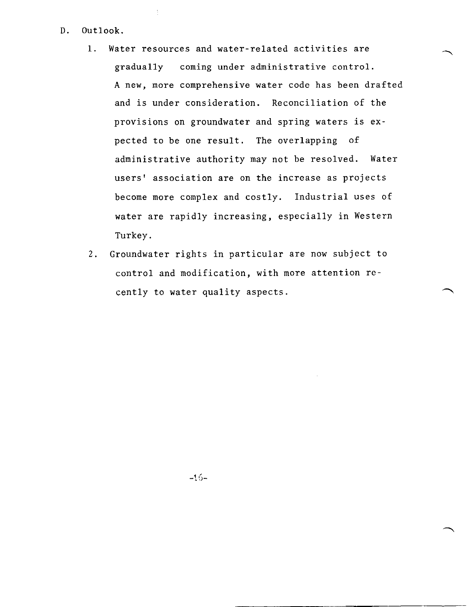#### D. Outlook.

 $\ddot{\ddot{z}}$ 

- 1. Water resources and water-related activities are gradually coming under administrative control. A new, more comprehensive water code has been drafted and is under consideration. Reconciliation of the provisions on groundwater and spring waters is expected to be one result. The overlapping of administrative authority may not be resolved. Water users' association are on the increase as projects become more complex and costly. Industrial uses of water are rapidly increasing, especially in Western Turkey.
- 2. Groundwater rights in particular are now subject to control and modification, with more attention recently to water quality aspects.

 $-16-$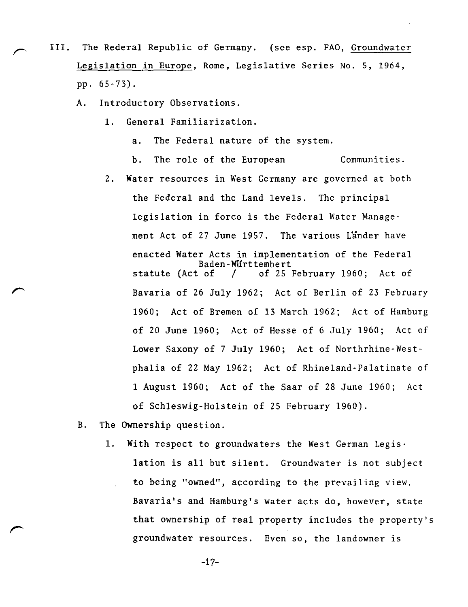- III. The Rederal Republic of Germany. (see esp. FAO, Groundwater Legislation in Europe, Rome, Legislative Series No. 5, 1964, pp. 65-73).
	- A. Introductory Observations.
		- 1. General Familiarization.
			- a. The Federal nature of the system.

b. The role of the European Communities. 2. Water resources in West Germany are governed at both the Federal and the Land levels. The principal legislation in force is the Federal Water Management Act of 27 June 1957. The various Lander have enacted Water Acts in implementation of the Federal Baden-WUrttembert statute (Act of / of 25 February 1960; Act of Bavaria of 26 July 1962; Act of Berlin of 23 February 1960; Act of Bremen of 13 March 1962; Act of Hamburg of 20 June 1960; Act of Hesse of 6 July 1960; Act of Lower Saxony of 7 July 1960; Act of Northrhine-Westphalia of 22 May 1962; Act of Rhineland-Palatinate of 1 August 1960; Act of the Saar of 28 June 1960; Act of Schleswig-Holstein of 25 February 1960).

- B. The Ownership question.
	- 1. With respect to groundwaters the West German Legislation is all but silent. Groundwater is not subject to being "owned", according to the prevailing view. Bavaria's and Hamburg's water acts do, however, state that ownership of real property includes the property's groundwater resources. Even so, the landowner is

-17-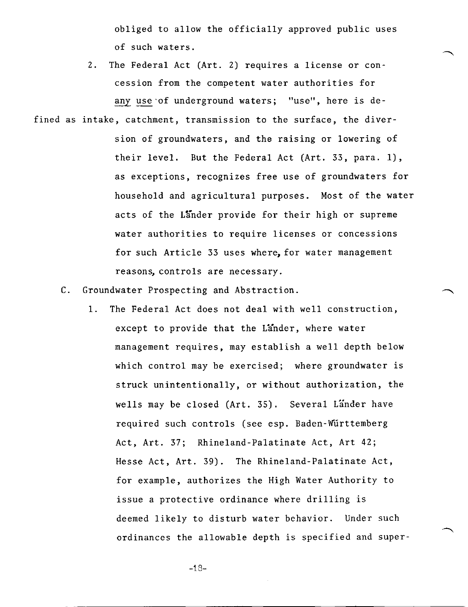obliged to allow the officially approved public uses of such waters.

2. The Federal Act (Art. 2) requires a license or concession from the competent water authorities for any use 'of underground waters; "use", here is de-

fined as intake, catchment, transmission to the surface, the diversion of groundwaters, and the raising or lowering of their level. But the Federal Act (Art. 33, para. 1), as exceptions, recognizes free use of groundwaters for household and agricultural purposes. Most of the water acts of the Lander provide for their high or supreme water authorities to require licenses or concessions for such Article 33 uses where, for water management reasons, controls are necessary.

C. Groundwater Prospecting and Abstraction.

1. The Federal Act does not deal with well construction, except to provide that the Lander, where water management requires, may establish a well depth below which control may be exercised; where groundwater is struck unintentionally, or without authorization, the wells may be closed (Art. 35). Several Lander have required such controls (see esp. Baden-Württemberg Act, Art. 37; Rhineland-Palatinate Act, Art 42; Hesse Act, Art. 39). The Rhineland-Palatinate Act, for example, authorizes the High Water Authority to issue a protective ordinance where drilling is deemed likely to disturb water behavior. Under such ordinances the allowable depth is specified and super-

 $-18-$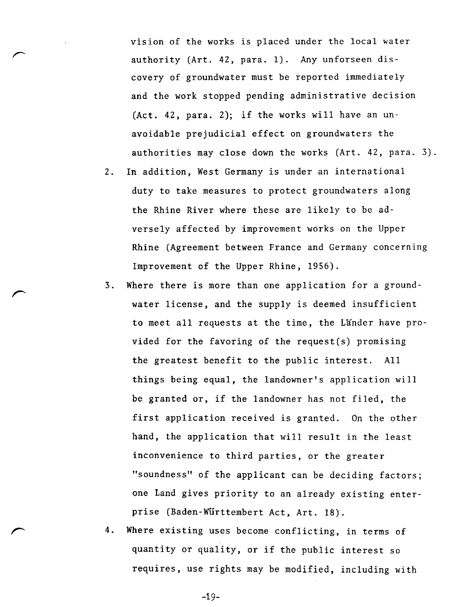vision of the works is placed under the local water authority (Art. 42, para. 1). Any unforseen discovery of groundwater must be reported immediately and the work stopped pending administrative decision (Act. 42, para. 2); if the works will have an unavoidable prejudicial effect on groundwaters the authorities may close down the works (Art. 42, para. 3).

- 2. In addition, West Germany is under an international duty to take measures to protect groundwaters along the Rhine River where these are likely to be adversely affected by improvement works on the Upper Rhine (Agreement between France and Germany concerning Improvement of the Upper Rhine, 1956).
- 3. Where there is more than one application for a groundwater license, and the supply is deemed insufficient to meet all requests at the time, the Lander have provided for the favoring of the request(s) promising the greatest benefit to the public interest. All things being equal, the landowner's application will be granted or, if the landowner has not filed, the first application received is granted. On the other hand, the application that will result in the least inconvenience to third parties, or the greater " soundness" of the applicant can be deciding factors; one Land gives priority to an already existing enterprise (Baden-Wiirttembert Act, Art. 18).
- 4. Where existing uses become conflicting, in terms of quantity or quality, or if the public interest so requires, use rights may be modified, including with

 $-19-$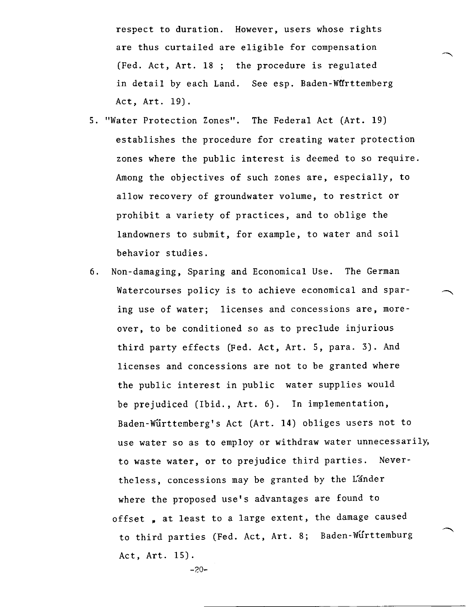respect to duration. However, users whose rights are thus curtailed are eligible for compensation (Fed. Act, Art. 18 ; the procedure is regulated in detail by each Land. See esp. Baden-Wurttemberg Act, Art. 19).

- 5. "Water Protection Zones". The Federal Act (Art. 19) establishes the procedure for creating water protection zones where the public interest is deemed to so require. Among the objectives of such zones are, especially, to allow recovery of groundwater volume, to restrict or prohibit a variety of practices, and to oblige the landowners to submit, for example, to water and soil behavior studies.
- 6. Non-damaging, Sparing and Economical Use. The German Watercourses policy is to achieve economical and sparing use of water; licenses and concessions are, moreover, to be conditioned so as to preclude injurious third party effects (Fed. Act, Art. 5, para. 3). And licenses and concessions are not to be granted where the public interest in public water supplies would be prejudiced (Ibid., Art. 6). In implementation, Baden-WUrttemberg's Act (Art. 14) obliges users not to use water so as to employ or withdraw water unnecessarily, to waste water, or to prejudice third parties. Nevertheless, concessions may be granted by the Lander where the proposed use's advantages are found to offset , at least to a large extent, the damage caused to third parties (Fed. Act, Art. 8; Baden-WUrttemburg Act, Art. 15).

-20-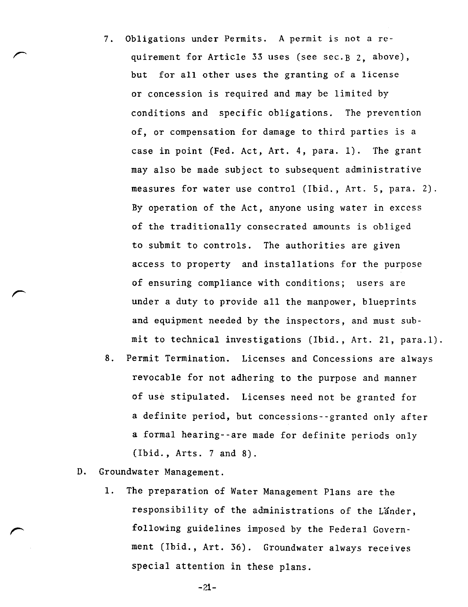- 7. Obligations under Permits. A permit is not a requirement for Article 33 uses (see sec.B 2, above), but for all other uses the granting of a license or concession is required and may be limited by conditions and specific obligations. The prevention of, or compensation for damage to third parties is a case in point (Fed. Act, Art. 4, para. 1). The grant may also be made subject to subsequent administrative measures for water use control (Ibid., Art. 5, para. 2). By operation of the Act, anyone using water in excess of the traditionally consecrated amounts is obliged to submit to controls. The authorities are given access to property and installations for the purpose of ensuring compliance with conditions; users are under a duty to provide all the manpower, blueprints and equipment needed by the inspectors, and must submit to technical investigations (Ibid., Art. 21, para.1).
- 8. Permit Termination. Licenses and Concessions are always revocable for not adhering to the purpose and manner of use stipulated. Licenses need not be granted for a definite period, but concessions--granted only after a formal hearing--are made for definite periods only (Ibid., Arts. 7 and 8).
- D. Groundwater Management.
	- 1. The preparation of Water Management Plans are the responsibility of the administrations of the Länder, following guidelines imposed by the Federal Government (Ibid., Art. 36). Groundwater always receives special attention in these plans.

-21-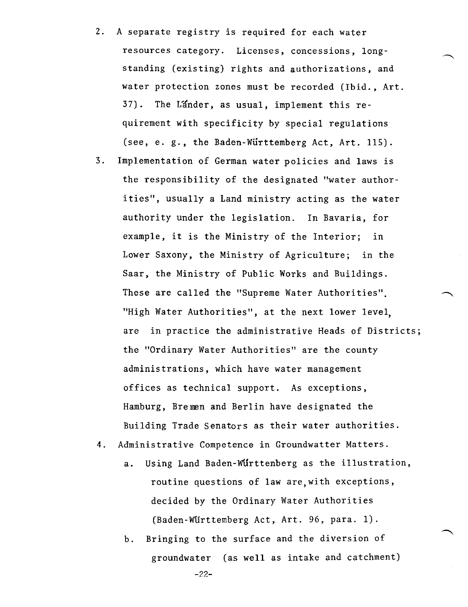- 2. A separate registry is required for each water resources category. Licenses, concessions, longstanding (existing) rights and authorizations, and water protection zones must be recorded (Ibid., Art. 37). The Lander, as usual, implement this requirement with specificity by special regulations (see, e. g., the Baden-WUrttemberg Act, Art. 115).
- 3. Implementation of German water policies and laws is the responsibility of the designated "water authorities", usually a Land ministry acting as the water authority under the legislation. In Bavaria, for example, it is the Ministry of the Interior; in Lower Saxony, the Ministry of Agriculture; in the Saar, the Ministry of Public Works and Buildings. These are called the "Supreme Water Authorities", "High Water Authorities", at the next lower level, are in practice the administrative Heads of Districts; the "Ordinary Water Authorities" are the county administrations, which have water management offices as technical support. As exceptions, Hamburg, Bremen and Berlin have designated the Building Trade Senators as their water authorities.

4. Administrative Competence in Groundwatter Matters.

- a. Using Land Baden-Wurttenberg as the illustration, routine questions of law are,with exceptions, decided by the Ordinary Water Authorities (Baden-WUrttemberg Act, Art. 96, para. 1).
- b. Bringing to the surface and the diversion of groundwater (as well as intake and catchment) -22-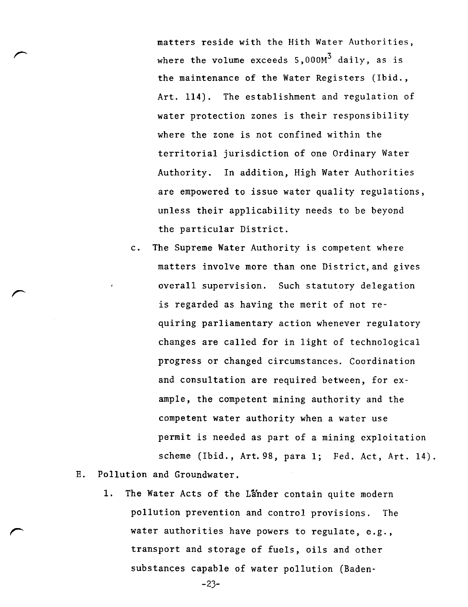matters reside with the Hith Water Authorities, where the volume exceeds  $5,000M<sup>3</sup>$  daily, as is the maintenance of the Water Registers (Ibid., Art. 114). The establishment and regulation of water protection zones is their responsibility where the zone is not confined within the territorial jurisdiction of one Ordinary Water Authority. In addition, High Water Authorities are empowered to issue water quality regulations, unless their applicability needs to be beyond the particular District.

- c. The Supreme Water Authority is competent where matters involve more than one District, and gives overall supervision. Such statutory delegation is regarded as having the merit of not requiring parliamentary action whenever regulatory changes are called for in light of technological progress or changed circumstances. Coordination and consultation are required between, for example, the competent mining authority and the competent water authority when a water use permit is needed as part of a mining exploitation scheme (Ibid., Art. 98, para 1; Fed. Act, Art. 14).
- E. Pollution and Groundwater.
	- 1. The Water Acts of the Lander contain quite modern pollution prevention and control provisions. The water authorities have powers to regulate, e.g., transport and storage of fuels, oils and other substances capable of water pollution (Baden-

-23-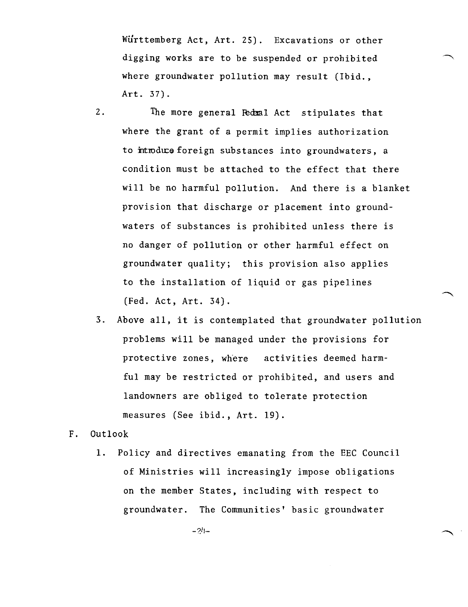Wirttemberg Act, Art. 25). Excavations or other digging works are to be suspended or prohibited where groundwater pollution may result (Ibid., Art. 37).

2. The more general Federal Act stipulates that where the grant of a permit implies authorization to introduce foreign substances into groundwaters, a condition must be attached to the effect that there will be no harmful pollution. And there is a blanket provision that discharge or placement into groundwaters of substances is prohibited unless there is no danger of pollution or other harmful effect on groundwater quality; this provision also applies to the installation of liquid or gas pipelines (Fed. Act, Art. 34).

3. Above all, it is contemplated that groundwater pollution problems will be managed under the provisions for protective zones, where activities deemed harmful may be restricted or prohibited, and users and landowners are obliged to tolerate protection measures (See ibid., Art. 19).

F. Outlook

1. Policy and directives emanating from the EEC Council of Ministries will increasingly impose obligations on the member States, including with respect to groundwater. The Communities' basic groundwater

 $-24-$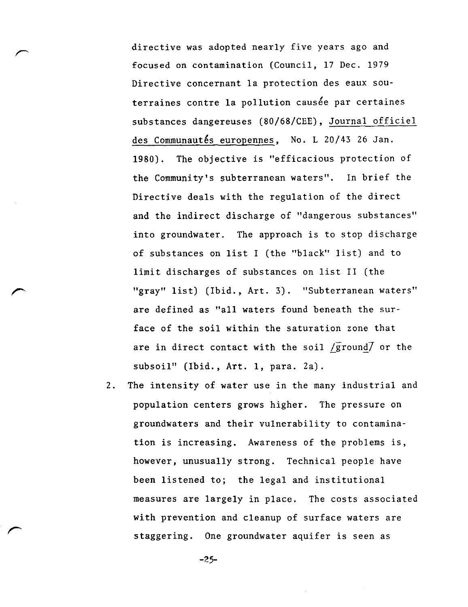directive was adopted nearly five years ago and focused on contamination (Council, 17 Dec. 1979 Directive concernant la protection des eaux souterraines contre la pollution causée par certaines substances dangereuses (80/68/CEE), Journal officiel des Communautés europennes, No. L 20/43 26 Jan. 1980). The objective is "efficacious protection of the Community's subterranean waters". In brief the Directive deals with the regulation of the direct and the indirect discharge of "dangerous substances" into groundwater. The approach is to stop discharge of substances on list I (the "black" list) and to limit discharges of substances on list II (the "gray" list) (Ibid., Art. 3). "Subterranean waters" are defined as "all waters found beneath the surface of the soil within the saturation zone that are in direct contact with the soil  $\sqrt{g}$ round $\sqrt{g}$  or the subsoil" (Ibid., Art. 1, para. 2a).

2. The intensity of water use in the many industrial and population centers grows higher. The pressure on groundwaters and their vulnerability to contamination is increasing. Awareness of the problems is, however, unusually strong. Technical people have been listened to; the legal and institutional measures are largely in place. The costs associated with prevention and cleanup of surface waters are staggering. One groundwater aquifer is seen as

-25-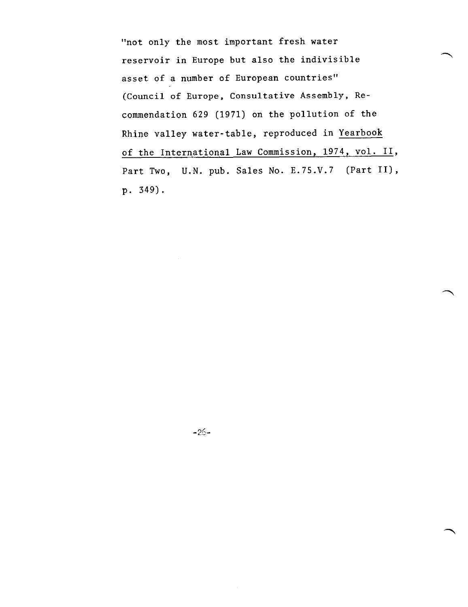"not only the most important fresh water reservoir in Europe but also the indivisible asset of a number of European countries" (Council of Europe, Consultative Assembly, Recommendation 629 (1971) on the pollution of the Rhine valley water-table, reproduced in Yearbook of the International Law Commission, 1974, vol. II, Part Two, U.N. pub. Sales No. E.75.V.7 (Part II), p. 349).

-26-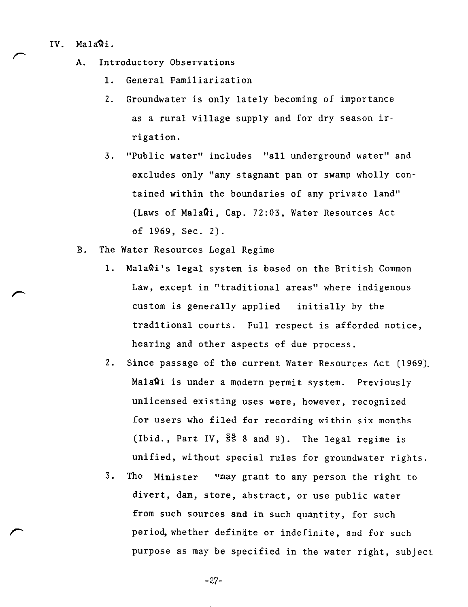- IV. Malawi.
	- A. Introductory Observations
		- 1. General Familiarization
		- 2. Groundwater is only lately becoming of importance as a rural village supply and for dry season irrigation.
		- 3. "Public water" includes "all underground water" and excludes only "any stagnant pan or swamp wholly contained within the boundaries of any private land" (Laws of Mala $\hat{w}$ i, Cap. 72:03, Water Resources Act of 1969, Sec. 2).
	- B. The Water Resources Legal Regime
		- 1. MalaRi's legal system is based on the British Common Law, except in "traditional areas" where indigenous custom is generally applied initially by the traditional courts. Full respect is afforded notice, hearing and other aspects of due process.
		- 2. Since passage of the current Water Resources Act (1969). Mala $\hat{w}$ i is under a modern permit system. Previously unlicensed existing uses were, however, recognized for users who filed for recording within six months (Ibid., Part IV,  $\frac{55}{58}$  8 and 9). The legal regime is unified, without special rules for groundwater rights.
		- 3. The Minister "may grant to any person the right to divert, dam, store, abstract, or use public water from such sources and in such quantity, for such period, whether definite or indefinite, and for such purpose as may be specified in the water right, subject

-27-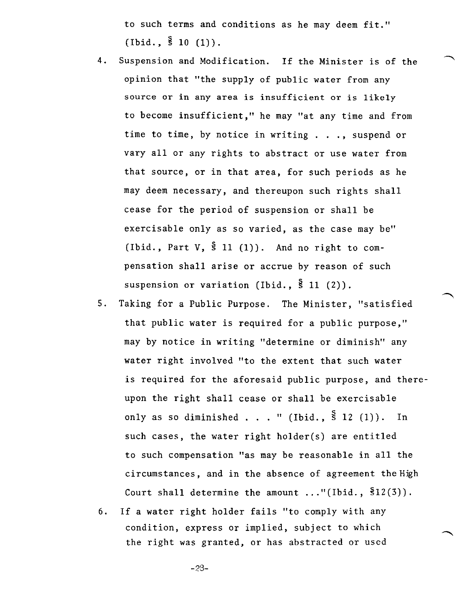to such terms and conditions as he may deem fit." (Ibid., g 10 (1)).

- 4. Suspension and Modification. If the Minister is of the opinion that "the supply of public water from any source or in any area is insufficient or is likely to become insufficient," he may "at any time and from time to time, by notice in writing . . ., suspend or vary all or any rights to abstract or use water from that source, or in that area, for such periods as he may deem necessary, and thereupon such rights shall cease for the period of suspension or shall be exercisable only as so varied, as the case may be" (Ibid., Part V,  $\frac{5}{5}$  11 (1)). And no right to compensation shall arise or accrue by reason of such suspension or variation (Ibid.,  $\frac{S}{S}$  11 (2)).
- S. Taking for a Public Purpose. The Minister, "satisfied that public water is required for a public purpose," may by notice in writing "determine or diminish" any water right involved "to the extent that such water is required for the aforesaid public purpose, and thereupon the right shall cease or shall be exercisable only as so diminished . . . " (Ibid.,  $\frac{5}{5}$  12 (1)). In such cases, the water right holder(s) are entitled to such compensation "as may be reasonable in all the circumstances, and in the absence of agreement the High Court shall determine the amount ..."(Ibid.,  $$12(3)$ ).
- 6. If a water right holder fails "to comply with any condition, express or implied, subject to which the right was granted, or has abstracted or used

-28-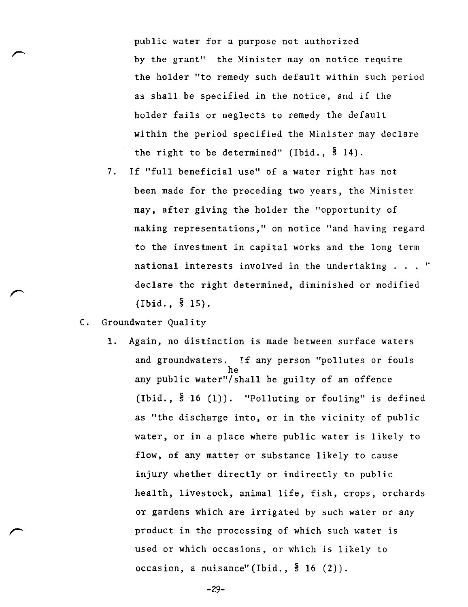public water for a purpose not authorized by the grant" the Minister may on notice require the holder "to remedy such default within such period as shall be specified **in** the notice, and if the holder fails or neglects to remedy the default within the period specified the Minister may declare the right to be determined" (Ibid.,  $\frac{5}{3}$  14).

- 7. If "full beneficial use" of a water right has not been made for the preceding two years, the Minister may, after giving the holder the "opportunity of making representations," on notice "and having regard to the investment in capital works and the long term national interests involved in the undertaking . . . " declare the right determined, diminished or modified (Ibid., § 15).
- C. Groundwater Quality
	- 1. Again, no distinction is made between surface waters and groundwaters. If any person "pollutes or fouls he any public water"/shall be guilty of an offence (Ibid., § 16 (1)). "Polluting or fouling" is defined as "the discharge into, or in the vicinity of public water, or in a place where public water is likely to flow, of any matter or substance likely to cause injury whether directly or indirectly to public health, livestock, animal life, fish, crops, orchards or gardens which are irrigated by such water or any product in the processing of which such water is used or which occasions, or which is likely to occasion, a nuisance" (Ibid.,  $\frac{1}{2}$  16 (2)).

-29-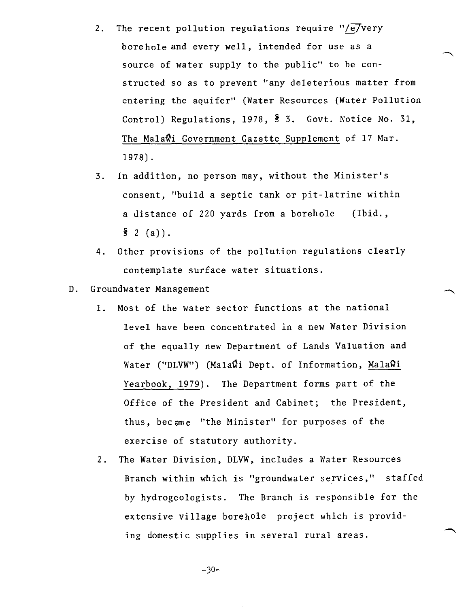- 2. The recent pollution regulations require "/ $\overline{e}$ /very borehole and every well, intended for use as a source of water supply to the public" to be constructed so as to prevent "any deleterious matter from entering the aquifer" (Water Resources (Water Pollution Control) Regulations, 1978,  $\frac{5}{5}$  3. Govt. Notice No. 31, The Mala $\hat{w}$ i Government Gazette Supplement of 17 Mar. 1978).
- 3. In addition, no person may, without the Minister's consent, "build a septic tank or pit-latrine within a distance of 220 yards from a borehole (Ibid.,  $\{3, 2, (a)\}.$
- 4. Other provisions of the pollution regulations clearly contemplate surface water situations.
- D. Groundwater Management
	- 1. Most of the water sector functions at the national level have been concentrated in a new Water Division of the equally new Department of Lands Valuation and Water ("DLVW") (Mala $\hat{w}$ i Dept. of Information, Mala $\hat{w}$ i Yearbook, 1979). The Department forms part of the Office of the President and Cabinet; the President, thus, became "the Minister" for purposes of the exercise of statutory authority.
	- 2. The Water Division, DLVW, includes a Water Resources Branch within which is "groundwater services," staffed by hydrogeologists. The Branch is responsible for the extensive village borehole project which is providing domestic supplies in several rural areas.

-30-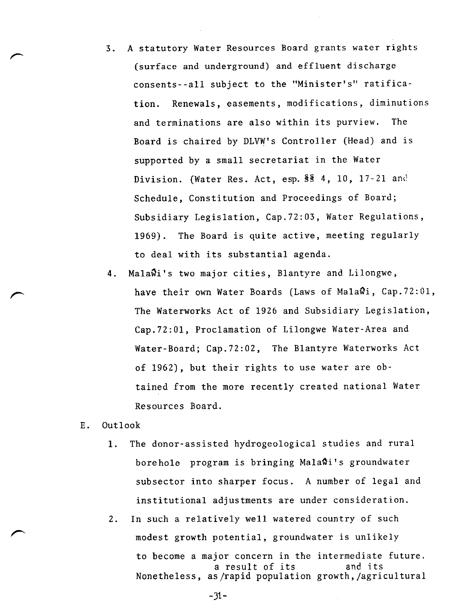- 3. A statutory Water Resources Board grants water rights (surface and underground) and effluent discharge consents--all subject to the "Minister's" ratification. Renewals, easements, modifications, diminutions and terminations are also within its purview. The Board is chaired by DLVW's Controller (Head) and is supported by a small secretariat in the Water Division. (Water Res. Act, esp. §§ 4, 10, 17-21 and Schedule, Constitution and Proceedings of Board; Subsidiary Legislation, Cap.72:03, Water Regulations, 1969). The Board is quite active, meeting regularly to deal with its substantial agenda.
- 4. Malawi's two major cities, Blantyre and Lilongwe, have their own Water Boards (Laws of Mala $\hat{w}$ i, Cap.72:01, The Waterworks Act of 1926 and Subsidiary Legislation, Cap.72:01, Proclamation of Lilongwe Water-Area and Water-Board; Cap.72:02, The Blantyre Waterworks Act of 1962), but their rights to use water are obtained from the more recently created national Water Resources Board.
- E. Outlook
	- 1. The donor-assisted hydrogeological studies and rural borehole program is bringing Mala $\hat{W}$ i's groundwater subsector into sharper focus. A number of legal and institutional adjustments are under consideration.
	- 2. In such a relatively well watered country of such modest growth potential, groundwater is unlikely to become a major concern in the intermediate future. a result of its and its Nonetheless, as /rapid population growth, /agricultural

 $-31-$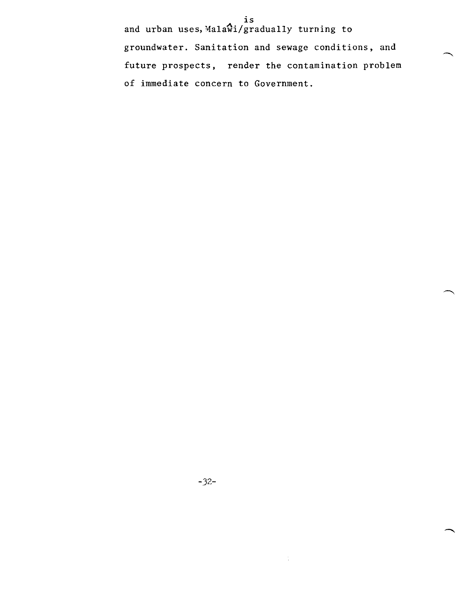$\lambda$ . is and urban uses,Malawi/gradually turning to groundwater. Sanitation and sewage conditions, and future prospects, render the contamination problem of immediate concern to Government.

-32-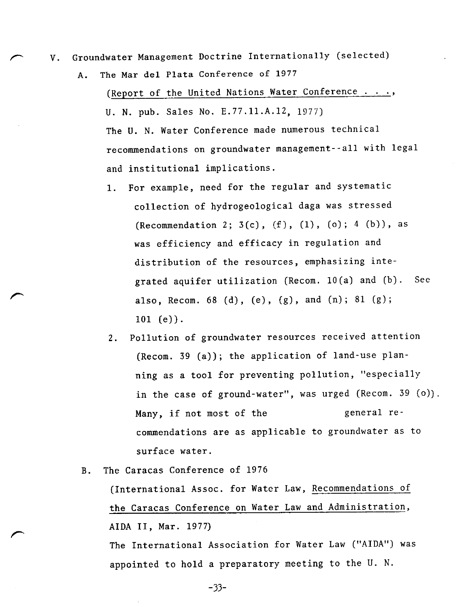- V. Groundwater Management Doctrine Internationally (selected)
	- A. The Mar del Plata Conference of 1977

(Report of the United Nations Water Conference  $\dots$ , U. N. pub. Sales No. E.77.11.A.12, 1977) The U. N. Water Conference made numerous technical recommendations on groundwater management--all with legal and institutional implications.

- 1. For example, need for the regular and systematic collection of hydrogeological daga was stressed (Recommendation 2;  $3(c)$ ,  $(f)$ ,  $(1)$ ,  $(o)$ ; 4  $(b)$ ), as was efficiency and efficacy in regulation and distribution of the resources, emphasizing integrated aquifer utilization (Recom. 10(a) and (b). See also, Recom. 68 (d), (e), (g), and (n); 81 (g);  $101 (e)$ .
- 2. Pollution of groundwater resources received attention (Recom. 39 (a)); the application of land-use planning as a tool for preventing pollution, "especially in the case of ground-water", was urged (Recom. 39 (o)). Many, if not most of the general recommendations are as applicable to groundwater as to surface water.
- B. The Caracas Conference of 1976

 $\mathcal{F}$ 

(International Assoc. for Water Law, Recommendations of the Caracas Conference on Water Law and Administration, AIDA II, Mar. 1977) The International Association for Water Law ("AIDA") was

appointed to hold a preparatory meeting to the U. N.

-33-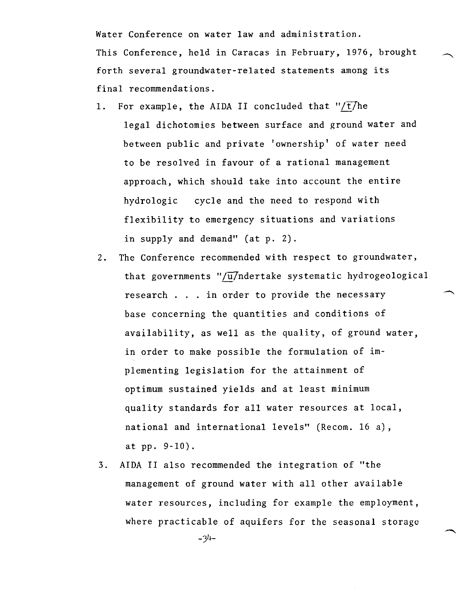Water Conference on water law and administration. This Conference, held in Caracas in February, 1976, brought forth several groundwater-related statements among its final recommendations.

- 1. For example, the AIDA II concluded that " $\sqrt{t/h}$ e legal dichotomies between surface and ground water and between public and private 'ownership' of water need to be resolved in favour of a rational management approach, which should take into account the entire hydrologic cycle and the need to respond with flexibility to emergency situations and variations in supply and demand" (at p. 2).
- 2. The Conference recommended with respect to groundwater, that governments "/ $\overline{u}$ /ndertake systematic hydrogeological research . . . in order to provide the necessary base concerning the quantities and conditions of availability, as well as the quality, of ground water, in order to make possible the formulation of implementing legislation for the attainment of optimum sustained yields and at least minimum quality standards for all water resources at local, national and international levels" (Recom. 16 a), at pp. 9-10).
- 3. AIDA II also recommended the integration of "the management of ground water with all other available water resources, including for example the employment, where practicable of aquifers for the seasonal storage  $-34-$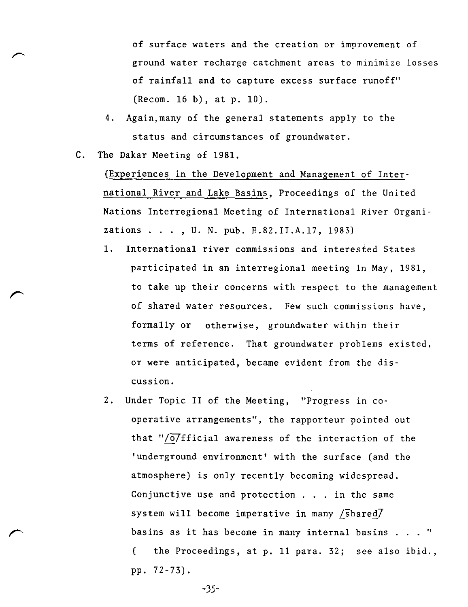of surface waters and the creation or improvement of ground water recharge catchment areas to minimize losses of rainfall and to capture excess surface runoff" (Recom. 16 b), at p. 10).

4. Again,many of the general statements apply to the status and circumstances of groundwater.

C. The Dakar Meeting of 1981.

(Experiences in the Development and Management of International River and Lake Basins, Proceedings of the United Nations Interregional Meeting of International River Organizations . . . , U. N. pub. E.82.II.A.17, 1983)

- 1. International river commissions and interested States participated in an interregional meeting in May, 1981, to take up their concerns with respect to the management of shared water resources. Few such commissions have, formally or otherwise, groundwater within their terms of reference. That groundwater problems existed, or were anticipated, became evident from the discussion.
- 2. Under Topic II of the Meeting, "Progress in cooperative arrangements", the rapporteur pointed out that " $\sqrt{57}$ fficial awareness of the interaction of the 'underground environment' with the surface (and the atmosphere) is only recently becoming widespread. Conjunctive use and protection . . . in the same system will become imperative in many  $\sqrt{s}$ hared $\sqrt{s}$ basins as it has become in many internal basins . . . " ( the Proceedings, at p. 11 para. 32; see also ibid., PP . 72-73).

 $-35-$